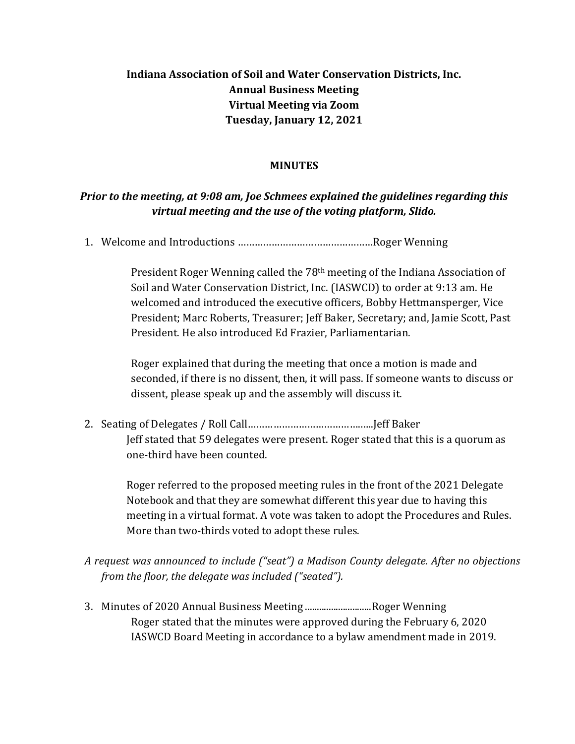## **Indiana Association of Soil and Water Conservation Districts, Inc. Annual Business Meeting Virtual Meeting via Zoom Tuesday, January 12, 2021**

## **MINUTES**

## *Prior to the meeting, at 9:08 am, Joe Schmees explained the guidelines regarding this virtual meeting and the use of the voting platform, Slido.*

1. Welcome and Introductions …………………………………………Roger Wenning

President Roger Wenning called the 78th meeting of the Indiana Association of Soil and Water Conservation District, Inc. (IASWCD) to order at 9:13 am. He welcomed and introduced the executive officers, Bobby Hettmansperger, Vice President; Marc Roberts, Treasurer; Jeff Baker, Secretary; and, Jamie Scott, Past President. He also introduced Ed Frazier, Parliamentarian.

Roger explained that during the meeting that once a motion is made and seconded, if there is no dissent, then, it will pass. If someone wants to discuss or dissent, please speak up and the assembly will discuss it.

2. Seating of Delegates / Roll Call………………………………….…..Jeff Baker Jeff stated that 59 delegates were present. Roger stated that this is a quorum as one-third have been counted.

Roger referred to the proposed meeting rules in the front of the 2021 Delegate Notebook and that they are somewhat different this year due to having this meeting in a virtual format. A vote was taken to adopt the Procedures and Rules. More than two-thirds voted to adopt these rules.

- *A request was announced to include ("seat") a Madison County delegate. After no objections from the floor, the delegate was included ("seated").*
- 3. Minutes of 2020 Annual Business Meeting ............................Roger Wenning Roger stated that the minutes were approved during the February 6, 2020 IASWCD Board Meeting in accordance to a bylaw amendment made in 2019.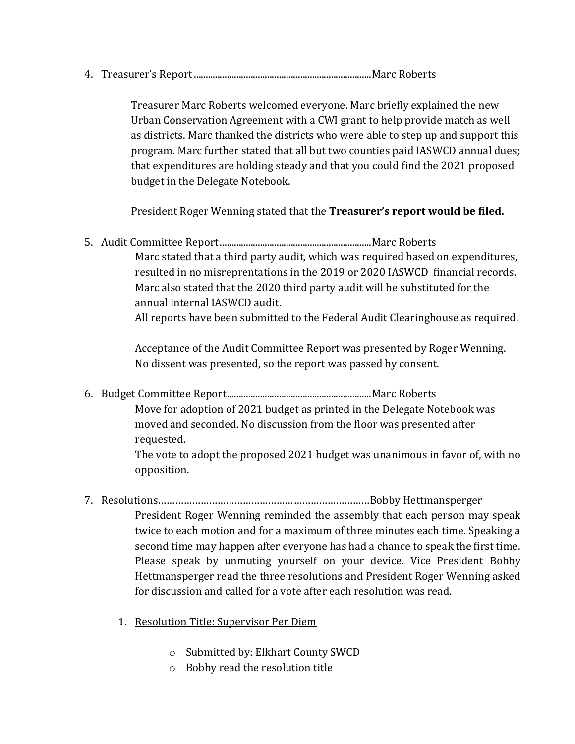4. Treasurer's Report...........................................................................Marc Roberts

Treasurer Marc Roberts welcomed everyone. Marc briefly explained the new Urban Conservation Agreement with a CWI grant to help provide match as well as districts. Marc thanked the districts who were able to step up and support this program. Marc further stated that all but two counties paid IASWCD annual dues; that expenditures are holding steady and that you could find the 2021 proposed budget in the Delegate Notebook.

President Roger Wenning stated that the **Treasurer's report would be filed.**

5. Audit Committee Report................................................................Marc Roberts Marc stated that a third party audit, which was required based on expenditures, resulted in no misreprentations in the 2019 or 2020 IASWCD financial records. Marc also stated that the 2020 third party audit will be substituted for the annual internal IASWCD audit.

All reports have been submitted to the Federal Audit Clearinghouse as required.

Acceptance of the Audit Committee Report was presented by Roger Wenning. No dissent was presented, so the report was passed by consent.

6. Budget Committee Report.............................................................Marc Roberts Move for adoption of 2021 budget as printed in the Delegate Notebook was moved and seconded. No discussion from the floor was presented after requested.

> The vote to adopt the proposed 2021 budget was unanimous in favor of, with no opposition.

- 7. Resolutions…………………………………………………………………Bobby Hettmansperger President Roger Wenning reminded the assembly that each person may speak twice to each motion and for a maximum of three minutes each time. Speaking a second time may happen after everyone has had a chance to speak the first time. Please speak by unmuting yourself on your device. Vice President Bobby Hettmansperger read the three resolutions and President Roger Wenning asked for discussion and called for a vote after each resolution was read.
	- 1. Resolution Title: Supervisor Per Diem
		- o Submitted by: Elkhart County SWCD
		- o Bobby read the resolution title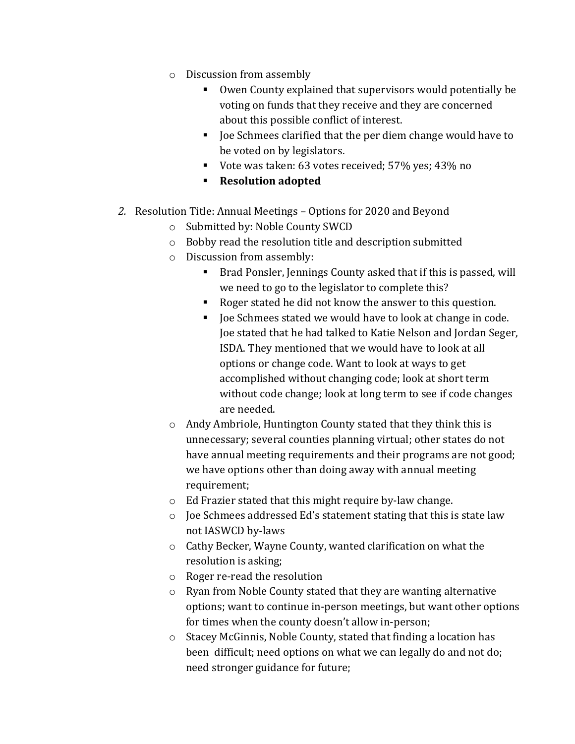- o Discussion from assembly
	- Owen County explained that supervisors would potentially be voting on funds that they receive and they are concerned about this possible conflict of interest.
	- Joe Schmees clarified that the per diem change would have to be voted on by legislators.
	- Vote was taken: 63 votes received; 57% yes; 43% no
	- **Resolution adopted**
- *2.* Resolution Title: Annual Meetings Options for 2020 and Beyond
	- o Submitted by: Noble County SWCD
	- o Bobby read the resolution title and description submitted
	- o Discussion from assembly:
		- Brad Ponsler, Jennings County asked that if this is passed, will we need to go to the legislator to complete this?
		- Roger stated he did not know the answer to this question.
		- Joe Schmees stated we would have to look at change in code. Joe stated that he had talked to Katie Nelson and Jordan Seger, ISDA. They mentioned that we would have to look at all options or change code. Want to look at ways to get accomplished without changing code; look at short term without code change; look at long term to see if code changes are needed.
	- o Andy Ambriole, Huntington County stated that they think this is unnecessary; several counties planning virtual; other states do not have annual meeting requirements and their programs are not good; we have options other than doing away with annual meeting requirement;
	- o Ed Frazier stated that this might require by-law change.
	- o Joe Schmees addressed Ed's statement stating that this is state law not IASWCD by-laws
	- o Cathy Becker, Wayne County, wanted clarification on what the resolution is asking;
	- o Roger re-read the resolution
	- o Ryan from Noble County stated that they are wanting alternative options; want to continue in-person meetings, but want other options for times when the county doesn't allow in-person;
	- o Stacey McGinnis, Noble County, stated that finding a location has been difficult; need options on what we can legally do and not do; need stronger guidance for future;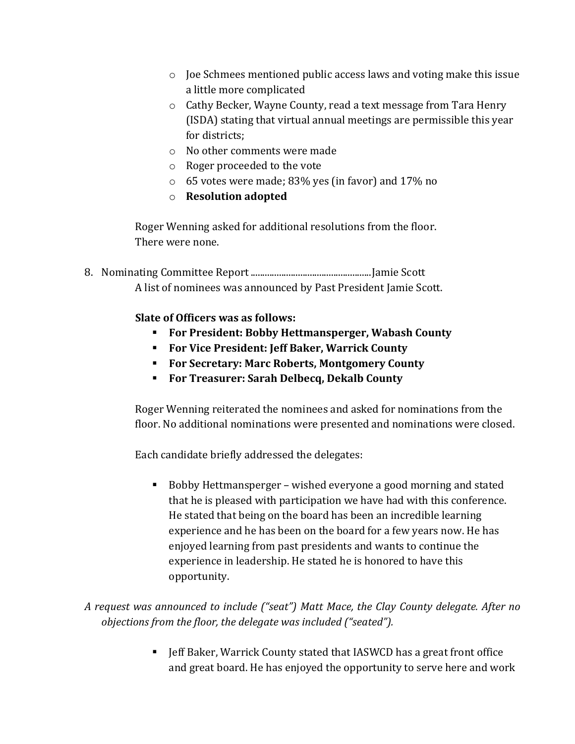- o Joe Schmees mentioned public access laws and voting make this issue a little more complicated
- o Cathy Becker, Wayne County, read a text message from Tara Henry (ISDA) stating that virtual annual meetings are permissible this year for districts;
- o No other comments were made
- o Roger proceeded to the vote
- o 65 votes were made; 83% yes (in favor) and 17% no
- o **Resolution adopted**

Roger Wenning asked for additional resolutions from the floor. There were none.

8. Nominating Committee Report...................................................Jamie Scott A list of nominees was announced by Past President Jamie Scott.

**Slate of Officers was as follows:**

- **For President: Bobby Hettmansperger, Wabash County**
- **For Vice President: Jeff Baker, Warrick County**
- **For Secretary: Marc Roberts, Montgomery County**
- **For Treasurer: Sarah Delbecq, Dekalb County**

Roger Wenning reiterated the nominees and asked for nominations from the floor. No additional nominations were presented and nominations were closed.

Each candidate briefly addressed the delegates:

■ Bobby Hettmansperger – wished everyone a good morning and stated that he is pleased with participation we have had with this conference. He stated that being on the board has been an incredible learning experience and he has been on the board for a few years now. He has enjoyed learning from past presidents and wants to continue the experience in leadership. He stated he is honored to have this opportunity.

*A request was announced to include ("seat") Matt Mace, the Clay County delegate. After no objections from the floor, the delegate was included ("seated").* 

> **F** Jeff Baker, Warrick County stated that IASWCD has a great front office and great board. He has enjoyed the opportunity to serve here and work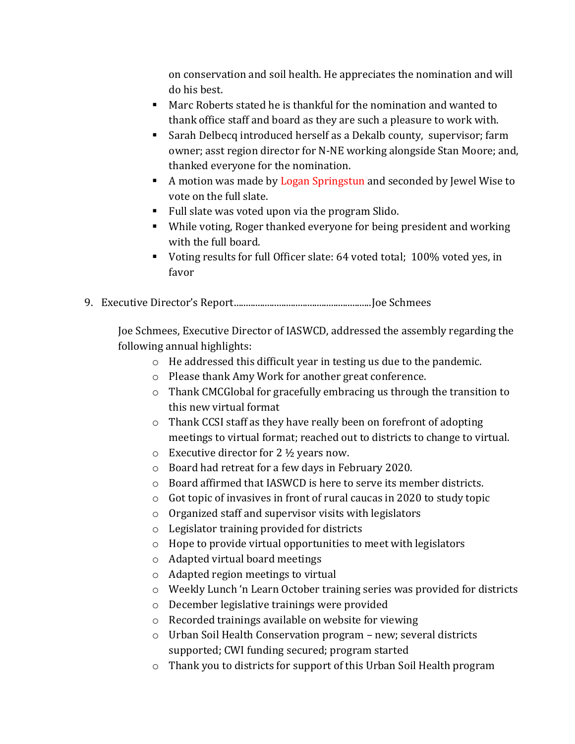on conservation and soil health. He appreciates the nomination and will do his best.

- Marc Roberts stated he is thankful for the nomination and wanted to thank office staff and board as they are such a pleasure to work with.
- Sarah Delbecq introduced herself as a Dekalb county, supervisor; farm owner; asst region director for N-NE working alongside Stan Moore; and, thanked everyone for the nomination.
- A motion was made by Logan Springstun and seconded by Jewel Wise to vote on the full slate.
- Full slate was voted upon via the program Slido.
- While voting, Roger thanked everyone for being president and working with the full board.
- Voting results for full Officer slate: 64 voted total; 100% voted yes, in favor
- 9. Executive Director's Report..........................................................Joe Schmees

Joe Schmees, Executive Director of IASWCD, addressed the assembly regarding the following annual highlights:

- o He addressed this difficult year in testing us due to the pandemic.
- o Please thank Amy Work for another great conference.
- o Thank CMCGlobal for gracefully embracing us through the transition to this new virtual format
- o Thank CCSI staff as they have really been on forefront of adopting meetings to virtual format; reached out to districts to change to virtual.
- $\circ$  Executive director for 2  $\frac{1}{2}$  years now.
- o Board had retreat for a few days in February 2020.
- o Board affirmed that IASWCD is here to serve its member districts.
- o Got topic of invasives in front of rural caucas in 2020 to study topic
- o Organized staff and supervisor visits with legislators
- o Legislator training provided for districts
- o Hope to provide virtual opportunities to meet with legislators
- o Adapted virtual board meetings
- o Adapted region meetings to virtual
- o Weekly Lunch 'n Learn October training series was provided for districts
- o December legislative trainings were provided
- o Recorded trainings available on website for viewing
- o Urban Soil Health Conservation program new; several districts supported; CWI funding secured; program started
- o Thank you to districts for support of this Urban Soil Health program